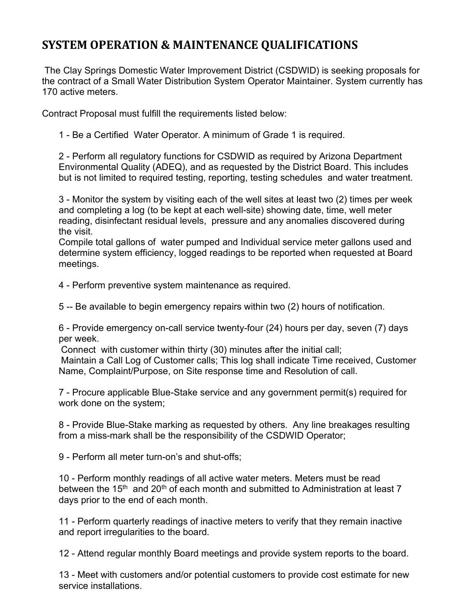## SYSTEM OPERATION & MAINTENANCE QUALIFICATIONS

 The Clay Springs Domestic Water Improvement District (CSDWID) is seeking proposals for the contract of a Small Water Distribution System Operator Maintainer. System currently has 170 active meters.

Contract Proposal must fulfill the requirements listed below:

1 - Be a Certified Water Operator. A minimum of Grade 1 is required.

2 - Perform all regulatory functions for CSDWID as required by Arizona Department Environmental Quality (ADEQ), and as requested by the District Board. This includes but is not limited to required testing, reporting, testing schedules and water treatment.

3 - Monitor the system by visiting each of the well sites at least two (2) times per week and completing a log (to be kept at each well-site) showing date, time, well meter reading, disinfectant residual levels, pressure and any anomalies discovered during the visit.

Compile total gallons of water pumped and Individual service meter gallons used and determine system efficiency, logged readings to be reported when requested at Board meetings.

4 - Perform preventive system maintenance as required.

5 -- Be available to begin emergency repairs within two (2) hours of notification.

6 - Provide emergency on-call service twenty-four (24) hours per day, seven (7) days per week.

Connect with customer within thirty (30) minutes after the initial call;

Maintain a Call Log of Customer calls; This log shall indicate Time received, Customer Name, Complaint/Purpose, on Site response time and Resolution of call.

7 - Procure applicable Blue-Stake service and any government permit(s) required for work done on the system;

8 - Provide Blue-Stake marking as requested by others. Any line breakages resulting from a miss-mark shall be the responsibility of the CSDWID Operator;

9 - Perform all meter turn-on's and shut-offs;

10 - Perform monthly readings of all active water meters. Meters must be read between the 15<sup>th</sup> and 20<sup>th</sup> of each month and submitted to Administration at least 7 days prior to the end of each month.

11 - Perform quarterly readings of inactive meters to verify that they remain inactive and report irregularities to the board.

12 - Attend regular monthly Board meetings and provide system reports to the board.

13 - Meet with customers and/or potential customers to provide cost estimate for new service installations.